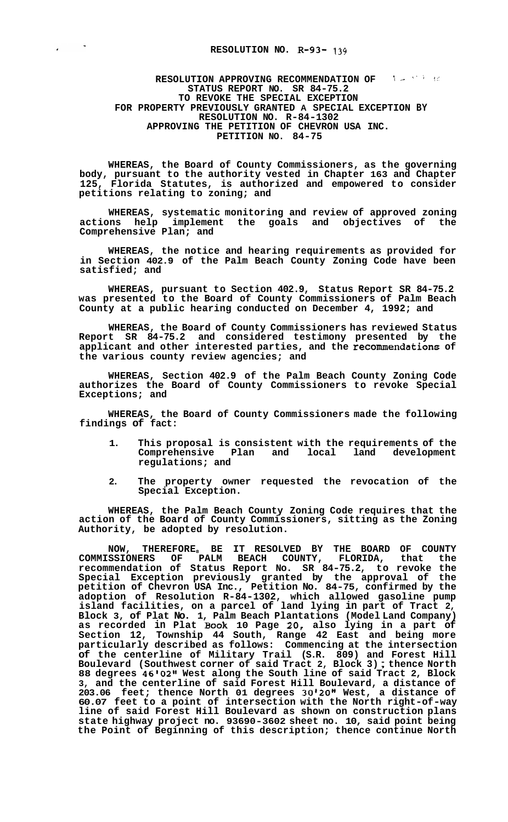## **RESOLUTION NO. R-93-** 139

## **RESOLUTION APPROVING RECOMMENDATION OF Latelling to the set of the set of the set of the set of the set of the set of the set of the set of the set of the set of the set of the set of the set of the set of the set of the STATUS REPORT NO. SR 84-75.2 TO REVOKE THE SPECIAL EXCEPTION FOR PROPERTY PREVIOUSLY GRANTED A SPECIAL EXCEPTION BY RESOLUTION NO. R-84-1302 APPROVING THE PETITION OF CHEVRON USA INC. PETITION NO. 84-75**

**WHEREAS, the Board of County Commissioners, as the governing body, pursuant to the authority vested in Chapter 163 and Chapter 125, Florida Statutes, is authorized and empowered to consider petitions relating to zoning; and** 

**WHEREAS, systematic monitoring and review of approved zoning actions help implement the goals and objectives of the Comprehensive Plan; and** 

**WHEREAS, the notice and hearing requirements as provided for in Section 402.9 of the Palm Beach County Zoning Code have been satisfied; and** 

**WHEREAS, pursuant to Section 402.9, Status Report SR 84-75.2 was presented to the Board of County Commissioners of Palm Beach County at a public hearing conducted on December 4, 1992; and** 

**WHEREAS, the Board of County Commissioners has reviewed Status Report SR 84-75.2 and considered testimony presented by the applicant and other interested parties, and the recommendations of the various county review agencies; and** 

**WHEREAS, Section 402.9 of the Palm Beach County Zoning Code authorizes the Board of County Commissioners to revoke Special Exceptions; and** 

**WHEREAS, the Board of County Commissioners made the following findings of fact:** 

- **1. This proposal is consistent with the requirements of the**  Comprehensive Plan and **regulations; and**
- **2. The property owner requested the revocation of the Special Exception.**

**WHEREAS, the Palm Beach County Zoning Code requires that the action of the Board of County Commissioners, sitting as the Zoning Authority, be adopted by resolution.** 

**NOW, THEREFORE8 BE IT RESOLVED BY THE BOARD OF COUNTY COMMISSIONERS OF PALM BEACH COUNTY, FLORIDA, that the recommendation of Status Report No. SR 84-75.2, to revoke the Special Exception previously granted by the approval of the petition of Chevron USA Inc., Petition No. 84-75, confirmed by the adoption of Resolution R-84-1302, which allowed gasoline pump island facilities, on a parcel of land lying in part of Tract 2, Block 3, of Plat No. 1, Palm Beach Plantations (Model Land Company) as recorded in Plat Book 10 Page 20, also lying in a part of Section 12, Township 44 South, Range 42 East and being more particularly described as follows: Commencing at the intersection of the centerline of Military Trail (S.R. 809) and Forest Hill Boulevard (Southwest corner of said Tract 2, Block 3)** ; **thence North 88 degrees 4610211 West along the South line of said Tract 2, Block 3, and the centerline of said Forest Hill Boulevard, a distance of 203.06 feet; thence North 01 degrees 30120" West, a distance of 60.07 feet to a point of intersection with the North right-of-way line of said Forest Hill Boulevard as shown on construction plans state highway project no. 93690-3602 sheet no. 10, said point being the Point of Beginning of this description; thence continue North**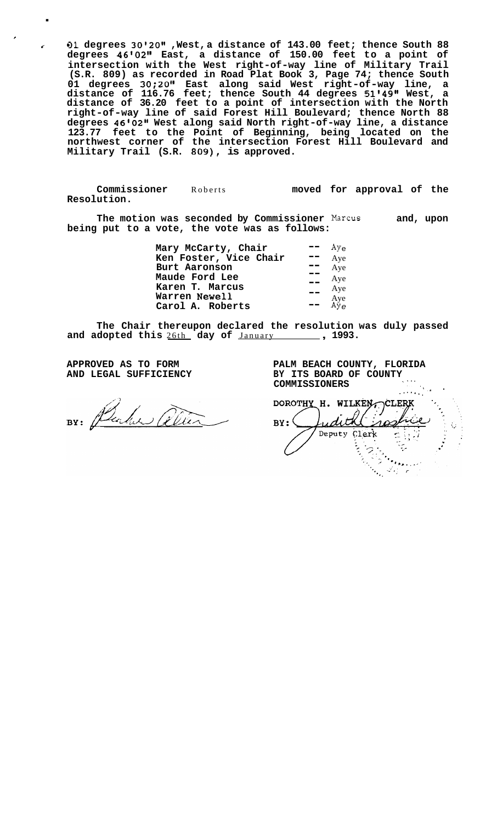*r-* **01 degrees 30@20@@ ,West, a distance of 143.00 feet; thence South 88 degrees 46@02@@ East, a distance of 150.00 feet to a point of intersection with the West right-of-way line of Military Trail (S.R. 809) as recorded in Road Plat Book 3, Page 74; thence South**  01 degrees 30;20" East along said West right-of-way line, a **distance of 116.76 feet; thence South 44 degrees 51\*49@' West, a distance of 36.20 feet to a point of intersection with the North right-of-way line of said Forest Hill Boulevard; thence North 88 degrees 46\*02@@ West along said North right-of-way line, a distance 123.77 feet to the Point of Beginning, being located on the northwest corner of the intersection Forest Hill Boulevard and Military Trail (S.R. 809), is approved.** 

**Commissioner** Roberts **Resolution.** 

.

*I* 

**moved for approval of the** 

**The motion was seconded by Commissioner** Marcus **and, upon being put to a vote, the vote was as follows:** 

| Mary McCarty, Chair    | Ay۵        |
|------------------------|------------|
| Ken Foster, Vice Chair | Aye        |
| Burt Aaronson          | Aye        |
| Maude Ford Lee         | Aye        |
| Karen T. Marcus        | Aye        |
| Warren Newell          | Aye<br>Aye |
| Carol A. Roberts       |            |
|                        |            |

**The Chair thereupon declared the resolution was duly passed**  and adopted this 26th day of January 1993.

**APPROVED AS TO FORM AND LEGAL SUFFICIENCY** 

BY: Purker allen

**PALM BEACH COUNTY, FLORIDA BY ITS BOARD OF COUNTY COMMISSIONERS ,I..**  I.. ,

......\_ (. ' DOROTHY H. WILKEN CLERK  $BY:$ edith Deputy Clerk ς. ゚゚゚  $\ddot{r}_{\dot{\alpha}}$ ٠,  $\mathcal{F}_{\mathcal{F}_{\mathcal{F}_{\mathcal{F}}}}(\mathcal{F}_{\mathcal{F}_{\mathcal{F}}})$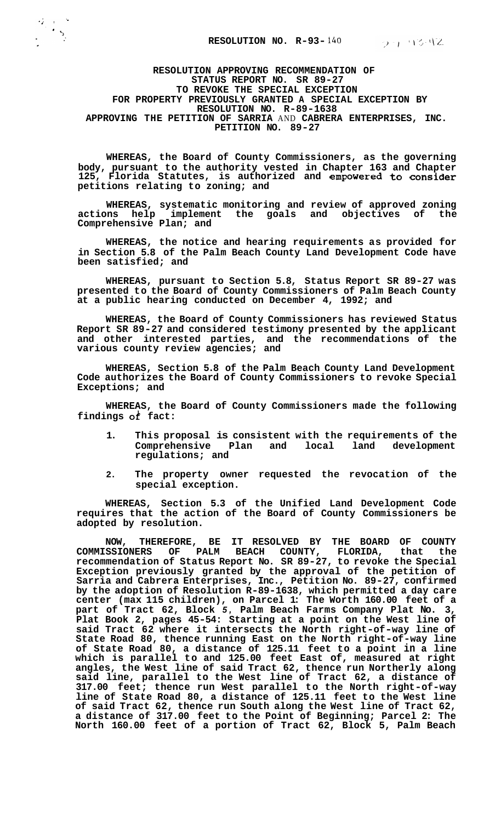$27.1342$ 

**RESOLUTION APPROVING RECOMMENDATION OF STATUS REPORT NO. SR 89-27 TO REVOKE THE SPECIAL EXCEPTION RESOLUTION NO. R-89-1638 APPROVING THE PETITION OF SARRIA** AND **CABRERA ENTERPRISES, INC. PETITION NO. 89-27 FOR PROPERTY PREVIOUSLY GRANTED A SPECIAL EXCEPTION BY** 

**WHEREAS, the Board of County Commissioners, as the governing body, pursuant to the authority vested in Chapter 163 and Chapter 125, Florida Statutes, is authorized and empowered to consider petitions relating to zoning; and** 

**WHEREAS, systematic monitoring and review of approved zoning actions help implement the goals and objectives of the Comprehensive Plan; and** 

**WHEREAS, the notice and hearing requirements as provided for in Section 5.8 of the Palm Beach County Land Development Code have been satisfied; and** 

**WHEREAS, pursuant to Section 5.8, Status Report SR 89-27 was presented to the Board of County Commissioners of Palm Beach County at a public hearing conducted on December 4, 1992; and** 

**WHEREAS, the Board of County Commissioners has reviewed Status Report SR 89-27 and considered testimony presented by the applicant and other interested parties, and the recommendations of the various county review agencies; and** 

**WHEREAS, Section 5.8 of the Palm Beach County Land Development Code authorizes the Board of County Commissioners to revoke Special Exceptions; and** 

**WHEREAS, the Board of County Commissioners made the following findings** *ok* **fact:** 

- **1. This proposal is consistent with the requirements of the**  Comprehensive Plan and local land **regulations; and**
- **2. The property owner requested the revocation of the special exception.**

**WHEREAS, Section 5.3 of the Unified Land Development Code requires that the action of the Board of County Commissioners be adopted by resolution.** 

**NOW, THEREFORE, BE IT RESOLVED BY THE BOARD OF COUNTY COMMISSIONERS OF PALM BEACH COUNTY, FLORIDA, that the recommendation of Status Report No. SR 89-27, to revoke the Special Exception previously granted by the approval of the petition of Sarria and Cabrera Enterprises, Inc., Petition No. 89-27, confirmed by the adoption of Resolution R-89-1638, which permitted a day care center (max 115 children), on Parcel 1: The Worth 160.00 feet of a part of Tract 62, Block** *5,* **Palm Beach Farms Company Plat No. 3, Plat Book 2, pages 45-54: Starting at a point on the West line of said Tract 62 where it intersects the North right-of-way line of State Road 80, thence running East on the North right-of-way line of State Road 80, a distance of 125.11 feet to a point in a line which is parallel to and 125.00 feet East of, measured at right angles, the West line of said Tract 62, thence run Northerly along said line, parallel to the West line of Tract 62, a distance of 317.00 feet; thence run West parallel to the North right-of-way line of State Road 80, a distance of 125.11 feet to the West line of said Tract 62, thence run South along the West line of Tract 62, a distance of 317.00 feet to the Point of Beginning; Parcel 2: The North 160.00 feet of a portion of Tract 62, Block 5, Palm Beach**